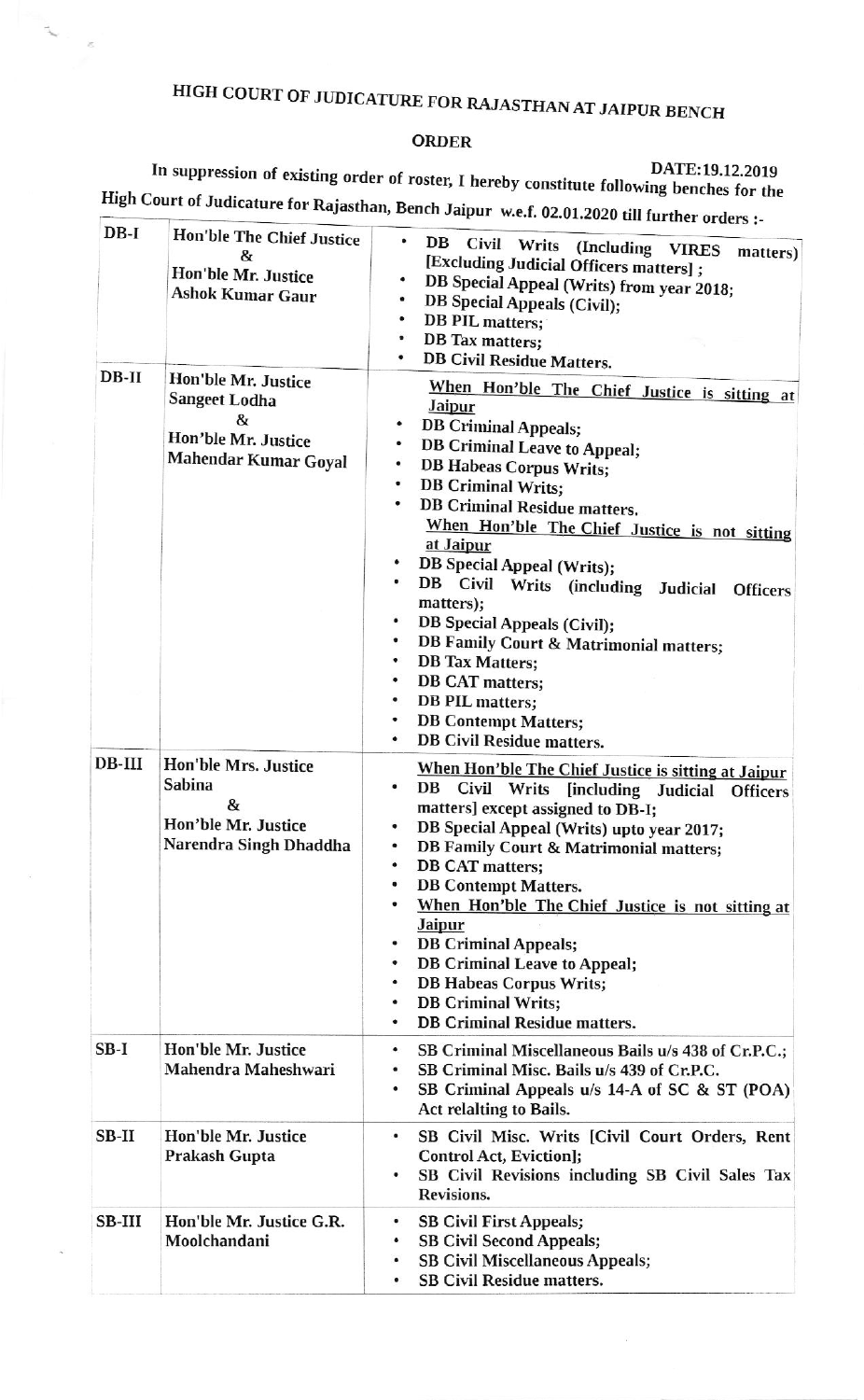## HIGH COURT OF JUDICATURE FOR RAJASTHAN AT JAIPUR BENCH

 $\overline{\phantom{a}}$ 

 $\overline{\epsilon}$ 

## **ORDER**

In suppression of existing order of roster, I hereby constitute following benches for the High Court of Judicature for Rajasthan, Bench Jaipur w.e.f. 02.01.2020 till further orders :-

| $DB-I$   | Hon'ble The Chief Justice<br>&<br>Hon'ble Mr. Justice<br>Ashok Kumar Gaur                       | ۰<br>DB<br>Civil Writs (Including VIRES<br>matters)<br>[Excluding Judicial Officers matters];<br>٠<br>DB Special Appeal (Writs) from year 2018;<br>٠<br><b>DB Special Appeals (Civil);</b><br><b>DB PIL matters;</b><br><b>DB</b> Tax matters;<br><b>DB Civil Residue Matters.</b>                                                                                                                                                                                                                                                                                                                                                                                                                                                    |
|----------|-------------------------------------------------------------------------------------------------|---------------------------------------------------------------------------------------------------------------------------------------------------------------------------------------------------------------------------------------------------------------------------------------------------------------------------------------------------------------------------------------------------------------------------------------------------------------------------------------------------------------------------------------------------------------------------------------------------------------------------------------------------------------------------------------------------------------------------------------|
| $DB-II$  | Hon'ble Mr. Justice<br><b>Sangeet Lodha</b><br>&<br>Hon'ble Mr. Justice<br>Mahendar Kumar Goyal | When Hon'ble The Chief Justice is sitting at<br><b>Jaipur</b><br><b>DB</b> Criminal Appeals;<br>٠<br>٠<br><b>DB Criminal Leave to Appeal;</b><br><b>DB Habeas Corpus Writs;</b><br>٠<br>$\bullet$<br><b>DB Criminal Writs;</b><br><b>DB Criminal Residue matters.</b><br>When Hon'ble The Chief Justice is not sitting<br>at Jaipur<br><b>DB</b> Special Appeal (Writs);<br>DB Civil Writs (including<br><b>Judicial</b><br><b>Officers</b><br>matters);<br><b>DB Special Appeals (Civil);</b><br>$\bullet$<br><b>DB Family Court &amp; Matrimonial matters;</b><br><b>DB</b> Tax Matters;<br>٠<br><b>DB CAT matters;</b><br>٠<br><b>DB PIL matters;</b><br>٠<br><b>DB Contempt Matters;</b><br>٠<br><b>DB Civil Residue matters.</b> |
| $DB-III$ | Hon'ble Mrs. Justice<br><b>Sabina</b><br>&<br>Hon'ble Mr. Justice<br>Narendra Singh Dhaddha     | When Hon'ble The Chief Justice is sitting at Jaipur<br>DB<br>Civil Writs [including Judicial Officers<br>٠<br>matters] except assigned to DB-I;<br>DB Special Appeal (Writs) upto year 2017;<br>٠<br><b>DB Family Court &amp; Matrimonial matters;</b><br>٠<br><b>DB CAT matters;</b><br>٠<br><b>DB Contempt Matters.</b><br>When Hon'ble The Chief Justice is not sitting at<br><b>Jaipur</b><br><b>DB Criminal Appeals;</b><br><b>DB Criminal Leave to Appeal;</b><br>٠<br><b>DB Habeas Corpus Writs;</b><br>٠<br><b>DB Criminal Writs;</b><br>٠<br><b>DB Criminal Residue matters.</b>                                                                                                                                             |
| $SB-I$   | Hon'ble Mr. Justice<br>Mahendra Maheshwari                                                      | SB Criminal Miscellaneous Bails u/s 438 of Cr.P.C.;<br>٠<br>SB Criminal Misc. Bails u/s 439 of Cr.P.C.<br>٠<br>SB Criminal Appeals u/s 14-A of SC & ST (POA)<br>٠<br><b>Act relalting to Bails.</b>                                                                                                                                                                                                                                                                                                                                                                                                                                                                                                                                   |
| $SB-II$  | Hon'ble Mr. Justice<br>Prakash Gupta                                                            | SB Civil Misc. Writs [Civil Court Orders, Rent<br>$\bullet$<br><b>Control Act, Eviction];</b><br>SB Civil Revisions including SB Civil Sales Tax<br>Revisions.                                                                                                                                                                                                                                                                                                                                                                                                                                                                                                                                                                        |
| SB-III   | Hon'ble Mr. Justice G.R.<br>Moolchandani                                                        | <b>SB Civil First Appeals;</b><br>$\bullet$<br><b>SB Civil Second Appeals;</b><br>٠<br><b>SB Civil Miscellaneous Appeals;</b><br><b>SB Civil Residue matters.</b><br>٠                                                                                                                                                                                                                                                                                                                                                                                                                                                                                                                                                                |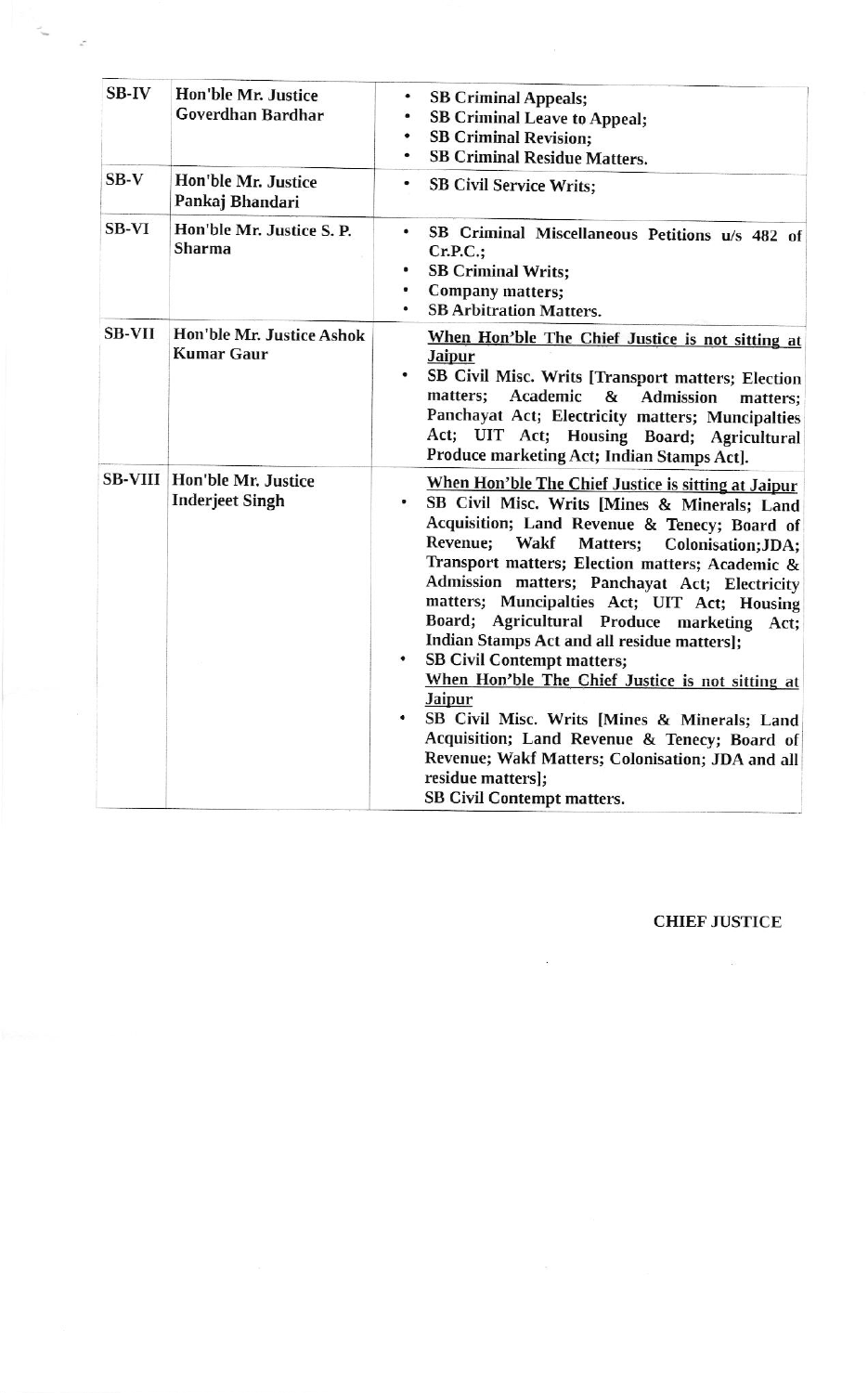| <b>SB-IV</b>  | Hon'ble Mr. Justice<br><b>Goverdhan Bardhar</b>                | <b>SB Criminal Appeals;</b><br>٠<br><b>SB Criminal Leave to Appeal;</b><br>٠<br><b>SB Criminal Revision;</b><br>٠<br><b>SB Criminal Residue Matters.</b><br>٠                                                                                                                                                                                                                                                                                                                                                                                                                                                                                                                                                                                                                                                 |
|---------------|----------------------------------------------------------------|---------------------------------------------------------------------------------------------------------------------------------------------------------------------------------------------------------------------------------------------------------------------------------------------------------------------------------------------------------------------------------------------------------------------------------------------------------------------------------------------------------------------------------------------------------------------------------------------------------------------------------------------------------------------------------------------------------------------------------------------------------------------------------------------------------------|
| $SB-V$        | Hon'ble Mr. Justice<br>Pankaj Bhandari                         | <b>SB Civil Service Writs;</b><br>٠                                                                                                                                                                                                                                                                                                                                                                                                                                                                                                                                                                                                                                                                                                                                                                           |
| SB-VI         | Hon'ble Mr. Justice S. P.<br>Sharma                            | ۰<br>SB Criminal Miscellaneous Petitions u/s 482 of<br>$Cr.P.C.$ ;<br><b>SB Criminal Writs;</b><br>۰<br><b>Company matters;</b><br>٠<br><b>SB Arbitration Matters.</b><br>۰                                                                                                                                                                                                                                                                                                                                                                                                                                                                                                                                                                                                                                   |
| <b>SB-VII</b> | Hon'ble Mr. Justice Ashok<br><b>Kumar Gaur</b>                 | When Hon'ble The Chief Justice is not sitting at<br><b>Jaipur</b><br>SB Civil Misc. Writs [Transport matters; Election<br>٠<br>Academic &<br>matters:<br><b>Admission</b><br>matters;<br>Panchayat Act; Electricity matters; Muncipalties<br>Act; UIT Act; Housing Board; Agricultural<br>Produce marketing Act; Indian Stamps Act].                                                                                                                                                                                                                                                                                                                                                                                                                                                                          |
|               | <b>SB-VIII   Hon'ble Mr. Justice</b><br><b>Inderjeet Singh</b> | When Hon'ble The Chief Justice is sitting at Jaipur<br>SB Civil Misc. Writs [Mines & Minerals; Land<br>$\bullet$<br>Acquisition; Land Revenue & Tenecy; Board of<br>Revenue;<br>Wakf<br><b>Matters;</b><br>Colonisation; JDA;<br>Transport matters; Election matters; Academic &<br>Admission matters; Panchayat Act; Electricity<br>matters; Muncipalties Act; UIT Act; Housing<br>Board; Agricultural Produce marketing<br>Act;<br>Indian Stamps Act and all residue matters];<br><b>SB Civil Contempt matters;</b><br>٠<br>When Hon'ble The Chief Justice is not sitting at<br><b>Jaipur</b><br>SB Civil Misc. Writs [Mines & Minerals; Land<br>Acquisition; Land Revenue & Tenecy; Board of<br>Revenue; Wakf Matters; Colonisation; JDA and all<br>residue matters];<br><b>SB Civil Contempt matters.</b> |

**CHIEF JUSTICE** 

 $\ddot{\odot}$